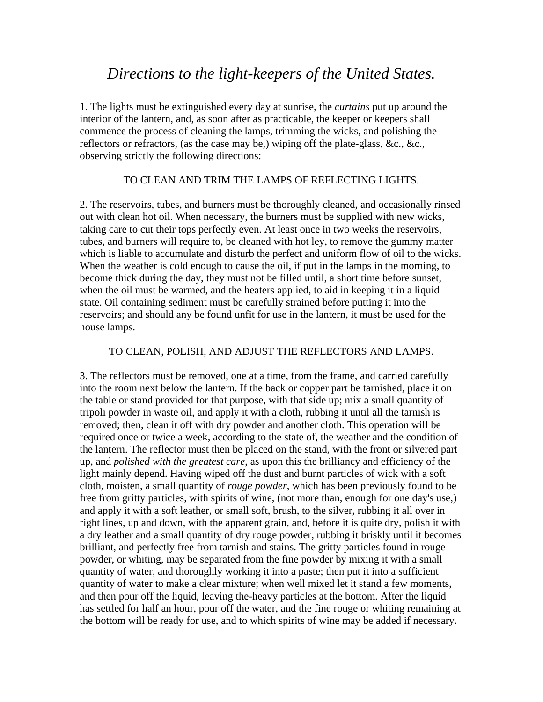# *Directions to the light-keepers of the United States.*

1. The lights must be extinguished every day at sunrise, the *curtains* put up around the interior of the lantern, and, as soon after as practicable, the keeper or keepers shall commence the process of cleaning the lamps, trimming the wicks, and polishing the reflectors or refractors, (as the case may be,) wiping off the plate-glass, &c., &c., observing strictly the following directions:

#### TO CLEAN AND TRIM THE LAMPS OF REFLECTING LIGHTS.

2. The reservoirs, tubes, and burners must be thoroughly cleaned, and occasionally rinsed out with clean hot oil. When necessary, the burners must be supplied with new wicks, taking care to cut their tops perfectly even. At least once in two weeks the reservoirs, tubes, and burners will require to, be cleaned with hot ley, to remove the gummy matter which is liable to accumulate and disturb the perfect and uniform flow of oil to the wicks. When the weather is cold enough to cause the oil, if put in the lamps in the morning, to become thick during the day, they must not be filled until, a short time before sunset, when the oil must be warmed, and the heaters applied, to aid in keeping it in a liquid state. Oil containing sediment must be carefully strained before putting it into the reservoirs; and should any be found unfit for use in the lantern, it must be used for the house lamps.

#### TO CLEAN, POLISH, AND ADJUST THE REFLECTORS AND LAMPS.

3. The reflectors must be removed, one at a time, from the frame, and carried carefully into the room next below the lantern. If the back or copper part be tarnished, place it on the table or stand provided for that purpose, with that side up; mix a small quantity of tripoli powder in waste oil, and apply it with a cloth, rubbing it until all the tarnish is removed; then, clean it off with dry powder and another cloth. This operation will be required once or twice a week, according to the state of, the weather and the condition of the lantern. The reflector must then be placed on the stand, with the front or silvered part up, and *polished with the greatest care*, as upon this the brilliancy and efficiency of the light mainly depend. Having wiped off the dust and burnt particles of wick with a soft cloth, moisten, a small quantity of *rouge powder*, which has been previously found to be free from gritty particles, with spirits of wine, (not more than, enough for one day's use,) and apply it with a soft leather, or small soft, brush, to the silver, rubbing it all over in right lines, up and down, with the apparent grain, and, before it is quite dry, polish it with a dry leather and a small quantity of dry rouge powder, rubbing it briskly until it becomes brilliant, and perfectly free from tarnish and stains. The gritty particles found in rouge powder, or whiting, may be separated from the fine powder by mixing it with a small quantity of water, and thoroughly working it into a paste; then put it into a sufficient quantity of water to make a clear mixture; when well mixed let it stand a few moments, and then pour off the liquid, leaving the-heavy particles at the bottom. After the liquid has settled for half an hour, pour off the water, and the fine rouge or whiting remaining at the bottom will be ready for use, and to which spirits of wine may be added if necessary.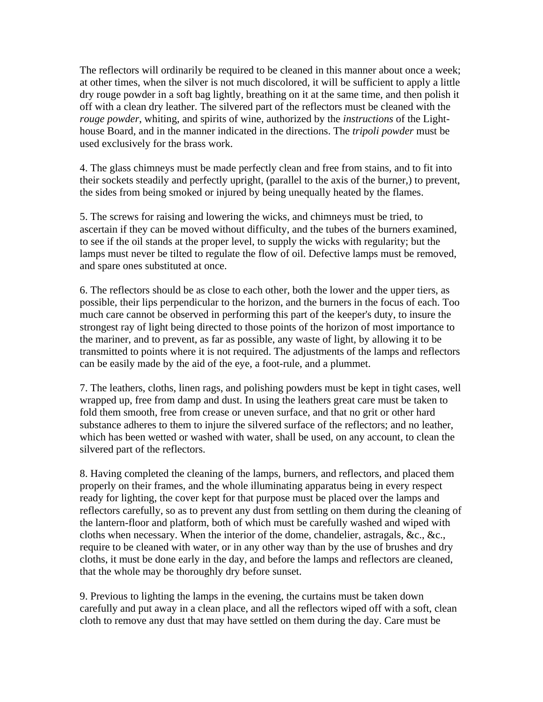The reflectors will ordinarily be required to be cleaned in this manner about once a week; at other times, when the silver is not much discolored, it will be sufficient to apply a little dry rouge powder in a soft bag lightly, breathing on it at the same time, and then polish it off with a clean dry leather. The silvered part of the reflectors must be cleaned with the *rouge powder*, whiting, and spirits of wine, authorized by the *instructions* of the Lighthouse Board, and in the manner indicated in the directions. The *tripoli powder* must be used exclusively for the brass work.

4. The glass chimneys must be made perfectly clean and free from stains, and to fit into their sockets steadily and perfectly upright, (parallel to the axis of the burner,) to prevent, the sides from being smoked or injured by being unequally heated by the flames.

5. The screws for raising and lowering the wicks, and chimneys must be tried, to ascertain if they can be moved without difficulty, and the tubes of the burners examined, to see if the oil stands at the proper level, to supply the wicks with regularity; but the lamps must never be tilted to regulate the flow of oil. Defective lamps must be removed, and spare ones substituted at once.

6. The reflectors should be as close to each other, both the lower and the upper tiers, as possible, their lips perpendicular to the horizon, and the burners in the focus of each. Too much care cannot be observed in performing this part of the keeper's duty, to insure the strongest ray of light being directed to those points of the horizon of most importance to the mariner, and to prevent, as far as possible, any waste of light, by allowing it to be transmitted to points where it is not required. The adjustments of the lamps and reflectors can be easily made by the aid of the eye, a foot-rule, and a plummet.

7. The leathers, cloths, linen rags, and polishing powders must be kept in tight cases, well wrapped up, free from damp and dust. In using the leathers great care must be taken to fold them smooth, free from crease or uneven surface, and that no grit or other hard substance adheres to them to injure the silvered surface of the reflectors; and no leather, which has been wetted or washed with water, shall be used, on any account, to clean the silvered part of the reflectors.

8. Having completed the cleaning of the lamps, burners, and reflectors, and placed them properly on their frames, and the whole illuminating apparatus being in every respect ready for lighting, the cover kept for that purpose must be placed over the lamps and reflectors carefully, so as to prevent any dust from settling on them during the cleaning of the lantern-floor and platform, both of which must be carefully washed and wiped with cloths when necessary. When the interior of the dome, chandelier, astragals, &c., &c., require to be cleaned with water, or in any other way than by the use of brushes and dry cloths, it must be done early in the day, and before the lamps and reflectors are cleaned, that the whole may be thoroughly dry before sunset.

9. Previous to lighting the lamps in the evening, the curtains must be taken down carefully and put away in a clean place, and all the reflectors wiped off with a soft, clean cloth to remove any dust that may have settled on them during the day. Care must be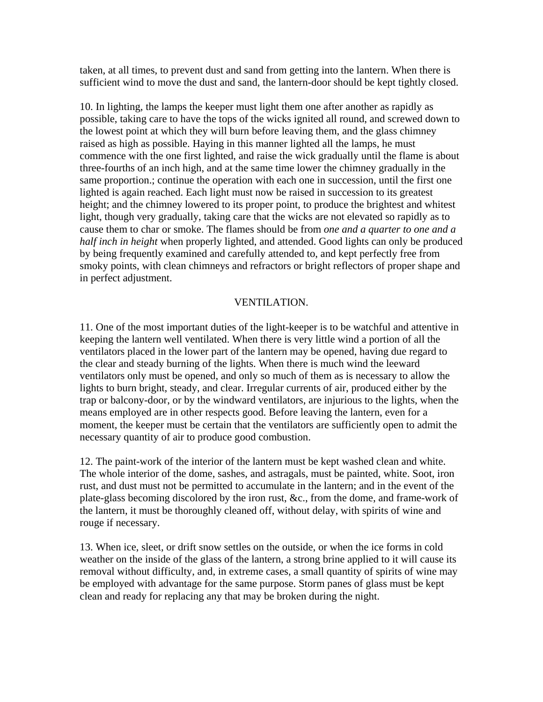taken, at all times, to prevent dust and sand from getting into the lantern. When there is sufficient wind to move the dust and sand, the lantern-door should be kept tightly closed.

10. In lighting, the lamps the keeper must light them one after another as rapidly as possible, taking care to have the tops of the wicks ignited all round, and screwed down to the lowest point at which they will burn before leaving them, and the glass chimney raised as high as possible. Haying in this manner lighted all the lamps, he must commence with the one first lighted, and raise the wick gradually until the flame is about three-fourths of an inch high, and at the same time lower the chimney gradually in the same proportion.; continue the operation with each one in succession, until the first one lighted is again reached. Each light must now be raised in succession to its greatest height; and the chimney lowered to its proper point, to produce the brightest and whitest light, though very gradually, taking care that the wicks are not elevated so rapidly as to cause them to char or smoke. The flames should be from *one and a quarter to one and a half inch in height* when properly lighted, and attended. Good lights can only be produced by being frequently examined and carefully attended to, and kept perfectly free from smoky points, with clean chimneys and refractors or bright reflectors of proper shape and in perfect adjustment.

# VENTILATION.

11. One of the most important duties of the light-keeper is to be watchful and attentive in keeping the lantern well ventilated. When there is very little wind a portion of all the ventilators placed in the lower part of the lantern may be opened, having due regard to the clear and steady burning of the lights. When there is much wind the leeward ventilators only must be opened, and only so much of them as is necessary to allow the lights to burn bright, steady, and clear. Irregular currents of air, produced either by the trap or balcony-door, or by the windward ventilators, are injurious to the lights, when the means employed are in other respects good. Before leaving the lantern, even for a moment, the keeper must be certain that the ventilators are sufficiently open to admit the necessary quantity of air to produce good combustion.

12. The paint-work of the interior of the lantern must be kept washed clean and white. The whole interior of the dome, sashes, and astragals, must be painted, white. Soot, iron rust, and dust must not be permitted to accumulate in the lantern; and in the event of the plate-glass becoming discolored by the iron rust, &c., from the dome, and frame-work of the lantern, it must be thoroughly cleaned off, without delay, with spirits of wine and rouge if necessary.

13. When ice, sleet, or drift snow settles on the outside, or when the ice forms in cold weather on the inside of the glass of the lantern, a strong brine applied to it will cause its removal without difficulty, and, in extreme cases, a small quantity of spirits of wine may be employed with advantage for the same purpose. Storm panes of glass must be kept clean and ready for replacing any that may be broken during the night.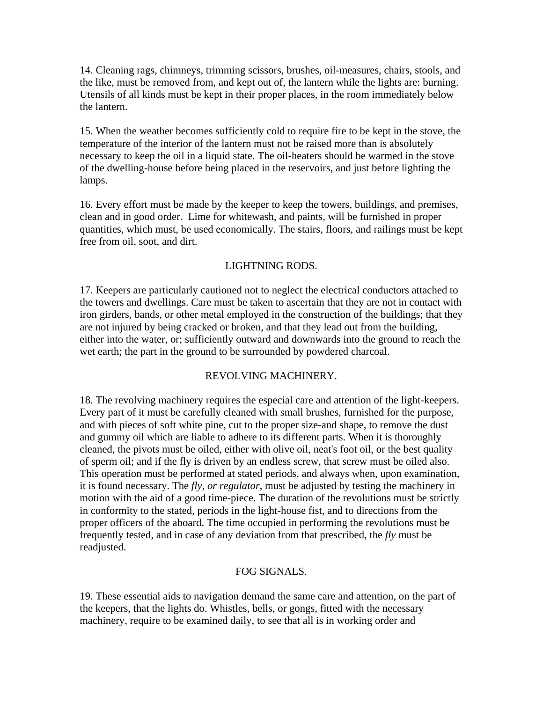14. Cleaning rags, chimneys, trimming scissors, brushes, oil-measures, chairs, stools, and the like, must be removed from, and kept out of, the lantern while the lights are: burning. Utensils of all kinds must be kept in their proper places, in the room immediately below the lantern.

15. When the weather becomes sufficiently cold to require fire to be kept in the stove, the temperature of the interior of the lantern must not be raised more than is absolutely necessary to keep the oil in a liquid state. The oil-heaters should be warmed in the stove of the dwelling-house before being placed in the reservoirs, and just before lighting the lamps.

16. Every effort must be made by the keeper to keep the towers, buildings, and premises, clean and in good order. Lime for whitewash, and paints, will be furnished in proper quantities, which must, be used economically. The stairs, floors, and railings must be kept free from oil, soot, and dirt.

# LIGHTNING RODS.

17. Keepers are particularly cautioned not to neglect the electrical conductors attached to the towers and dwellings. Care must be taken to ascertain that they are not in contact with iron girders, bands, or other metal employed in the construction of the buildings; that they are not injured by being cracked or broken, and that they lead out from the building, either into the water, or; sufficiently outward and downwards into the ground to reach the wet earth; the part in the ground to be surrounded by powdered charcoal.

# REVOLVING MACHINERY.

18. The revolving machinery requires the especial care and attention of the light-keepers. Every part of it must be carefully cleaned with small brushes, furnished for the purpose, and with pieces of soft white pine, cut to the proper size-and shape, to remove the dust and gummy oil which are liable to adhere to its different parts. When it is thoroughly cleaned, the pivots must be oiled, either with olive oil, neat's foot oil, or the best quality of sperm oil; and if the fly is driven by an endless screw, that screw must be oiled also. This operation must be performed at stated periods, and always when, upon examination, it is found necessary. The *fly, or regulator*, must be adjusted by testing the machinery in motion with the aid of a good time-piece. The duration of the revolutions must be strictly in conformity to the stated, periods in the light-house fist, and to directions from the proper officers of the aboard. The time occupied in performing the revolutions must be frequently tested, and in case of any deviation from that prescribed, the *fly* must be readjusted.

# FOG SIGNALS.

19. These essential aids to navigation demand the same care and attention, on the part of the keepers, that the lights do. Whistles, bells, or gongs, fitted with the necessary machinery, require to be examined daily, to see that all is in working order and